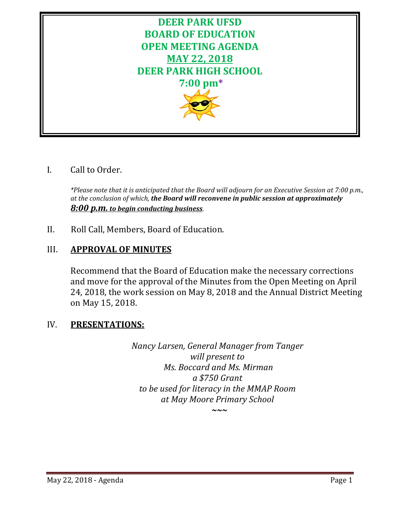

# I. Call to Order.

*\*Please note that it is anticipated that the Board will adjourn for an Executive Session at 7:00 p.m., at the conclusion of which, the Board will reconvene in public session at approximately 8:00 p.m. to begin conducting business.*

II. Roll Call, Members, Board of Education.

# III. **APPROVAL OF MINUTES**

Recommend that the Board of Education make the necessary corrections and move for the approval of the Minutes from the Open Meeting on April 24, 2018, the work session on May 8, 2018 and the Annual District Meeting on May 15, 2018.

# IV. **PRESENTATIONS:**

*Nancy Larsen, General Manager from Tanger will present to Ms. Boccard and Ms. Mirman a \$750 Grant to be used for literacy in the MMAP Room at May Moore Primary School*

*~~~*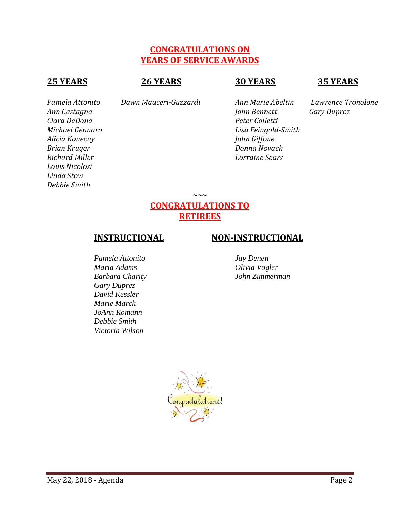# **CONGRATULATIONS ON YEARS OF SERVICE AWARDS**

# **25 YEARS 26 YEARS 30 YEARS 35 YEARS**

*Clara DeDona Peter Colletti Alicia Konecny John Giffone Brian Kruger Donna Novack Richard Miller Lorraine Sears Louis Nicolosi Linda Stow Debbie Smith*

*Pamela Attonito Dawn Mauceri-Guzzardi Ann Marie Abeltin Lawrence Tronolone*

*Ann Castagna John Bennett Gary Duprez Michael Gennaro Lisa Feingold-Smith*

# **CONGRATULATIONS TO RETIREES**

*~~~*

#### *Pamela Attonito Jay Denen Maria Adams Olivia Vogler Barbara Charity John Zimmerman Gary Duprez David Kessler Marie Marck JoAnn Romann Debbie Smith Victoria Wilson*

# **INSTRUCTIONAL NON-INSTRUCTIONAL**

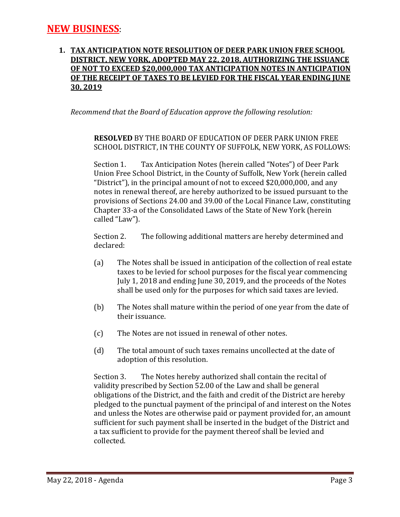## **1. TAX ANTICIPATION NOTE RESOLUTION OF DEER PARK UNION FREE SCHOOL DISTRICT, NEW YORK, ADOPTED MAY 22, 2018, AUTHORIZING THE ISSUANCE OF NOT TO EXCEED \$20,000,000 TAX ANTICIPATION NOTES IN ANTICIPATION OF THE RECEIPT OF TAXES TO BE LEVIED FOR THE FISCAL YEAR ENDING JUNE 30, 2019**

*Recommend that the Board of Education approve the following resolution:*

# **RESOLVED** BY THE BOARD OF EDUCATION OF DEER PARK UNION FREE SCHOOL DISTRICT, IN THE COUNTY OF SUFFOLK, NEW YORK, AS FOLLOWS:

Section 1. Tax Anticipation Notes (herein called "Notes") of Deer Park Union Free School District, in the County of Suffolk, New York (herein called "District"), in the principal amount of not to exceed \$20,000,000, and any notes in renewal thereof, are hereby authorized to be issued pursuant to the provisions of Sections 24.00 and 39.00 of the Local Finance Law, constituting Chapter 33-a of the Consolidated Laws of the State of New York (herein called "Law").

Section 2. The following additional matters are hereby determined and declared:

- (a) The Notes shall be issued in anticipation of the collection of real estate taxes to be levied for school purposes for the fiscal year commencing July 1, 2018 and ending June 30, 2019, and the proceeds of the Notes shall be used only for the purposes for which said taxes are levied.
- (b) The Notes shall mature within the period of one year from the date of their issuance.
- (c) The Notes are not issued in renewal of other notes.
- (d) The total amount of such taxes remains uncollected at the date of adoption of this resolution.

Section 3. The Notes hereby authorized shall contain the recital of validity prescribed by Section 52.00 of the Law and shall be general obligations of the District, and the faith and credit of the District are hereby pledged to the punctual payment of the principal of and interest on the Notes and unless the Notes are otherwise paid or payment provided for, an amount sufficient for such payment shall be inserted in the budget of the District and a tax sufficient to provide for the payment thereof shall be levied and collected.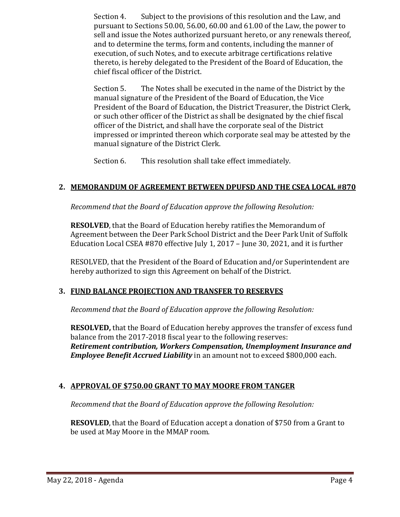Section 4. Subject to the provisions of this resolution and the Law, and pursuant to Sections 50.00, 56.00, 60.00 and 61.00 of the Law, the power to sell and issue the Notes authorized pursuant hereto, or any renewals thereof, and to determine the terms, form and contents, including the manner of execution, of such Notes, and to execute arbitrage certifications relative thereto, is hereby delegated to the President of the Board of Education, the chief fiscal officer of the District.

Section 5. The Notes shall be executed in the name of the District by the manual signature of the President of the Board of Education, the Vice President of the Board of Education, the District Treasurer, the District Clerk, or such other officer of the District as shall be designated by the chief fiscal officer of the District, and shall have the corporate seal of the District impressed or imprinted thereon which corporate seal may be attested by the manual signature of the District Clerk.

Section 6. This resolution shall take effect immediately.

# **2. MEMORANDUM OF AGREEMENT BETWEEN DPUFSD AND THE CSEA LOCAL #870**

*Recommend that the Board of Education approve the following Resolution:*

**RESOLVED**, that the Board of Education hereby ratifies the Memorandum of Agreement between the Deer Park School District and the Deer Park Unit of Suffolk Education Local CSEA #870 effective July 1, 2017 – June 30, 2021, and it is further

RESOLVED, that the President of the Board of Education and/or Superintendent are hereby authorized to sign this Agreement on behalf of the District.

#### **3. FUND BALANCE PROJECTION AND TRANSFER TO RESERVES**

*Recommend that the Board of Education approve the following Resolution:*

**RESOLVED,** that the Board of Education hereby approves the transfer of excess fund balance from the 2017-2018 fiscal year to the following reserves: *Retirement contribution, Workers Compensation, Unemployment Insurance and Employee Benefit Accrued Liability* in an amount not to exceed \$800,000 each.

#### **4. APPROVAL OF \$750.00 GRANT TO MAY MOORE FROM TANGER**

*Recommend that the Board of Education approve the following Resolution:*

**RESOVLED**, that the Board of Education accept a donation of \$750 from a Grant to be used at May Moore in the MMAP room.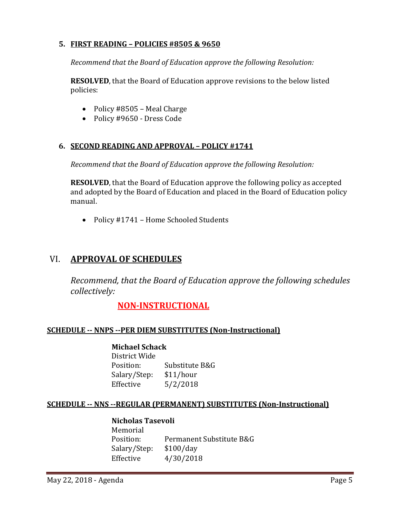## **5. FIRST READING – POLICIES #8505 & 9650**

*Recommend that the Board of Education approve the following Resolution:*

**RESOLVED**, that the Board of Education approve revisions to the below listed policies:

- Policy #8505 Meal Charge
- Policy #9650 Dress Code

## **6. SECOND READING AND APPROVAL – POLICY #1741**

*Recommend that the Board of Education approve the following Resolution:*

**RESOLVED**, that the Board of Education approve the following policy as accepted and adopted by the Board of Education and placed in the Board of Education policy manual.

• Policy #1741 – Home Schooled Students

# VI. **APPROVAL OF SCHEDULES**

*Recommend, that the Board of Education approve the following schedules collectively:*

# **NON-INSTRUCTIONAL**

#### **SCHEDULE -- NNPS --PER DIEM SUBSTITUTES (Non-Instructional)**

#### **Michael Schack**

| Substitute B&G |
|----------------|
| \$11/hour      |
| 5/2/2018       |
|                |

#### **SCHEDULE -- NNS --REGULAR (PERMANENT) SUBSTITUTES (Non-Instructional)**

## **Nicholas Tasevoli** Memorial<br>Position: Permanent Substitute B&G<br>\$100/day Salary/Step:<br>Effective Effective 4/30/2018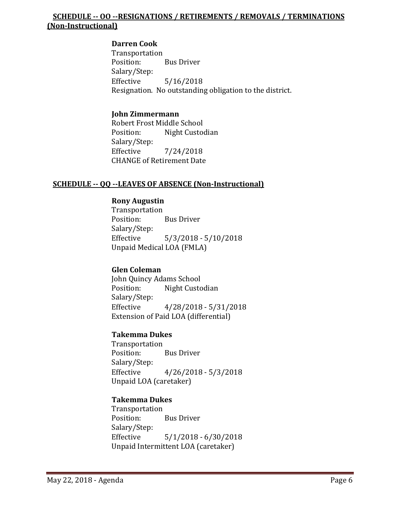# **SCHEDULE -- OO --RESIGNATIONS / RETIREMENTS / REMOVALS / TERMINATIONS (Non-Instructional)**

#### **Darren Cook**

Transportation<br>Position: **Bus Driver** Salary/Step:<br>Effective  $5/16/2018$ Resignation. No outstanding obligation to the district.

#### **John Zimmermann**

Robert Frost Middle School<br>Position: Night Custoo Night Custodian Salary/Step:<br>Effective Effective 7/24/2018 CHANGE of Retirement Date

#### **SCHEDULE -- QQ --LEAVES OF ABSENCE (Non-Instructional)**

#### **Rony Augustin**

Transportation<br>Position: **Bus Driver** Salary/Step:<br>Effective  $5/3/2018 - 5/10/2018$ Unpaid Medical LOA (FMLA)

#### **Glen Coleman**

John Quincy Adams School Night Custodian Salary/Step:<br>Effective  $4/28/2018 - 5/31/2018$ Extension of Paid LOA (differential)

#### **Takemma Dukes**

Transportation<br>Position: **Bus Driver** Salary/Step:<br>Effective  $4/26/2018 - 5/3/2018$ Unpaid LOA (caretaker)

#### **Takemma Dukes**

Transportation **Bus Driver** Salary/Step:<br>Effective  $5/1/2018 - 6/30/2018$ Unpaid Intermittent LOA (caretaker)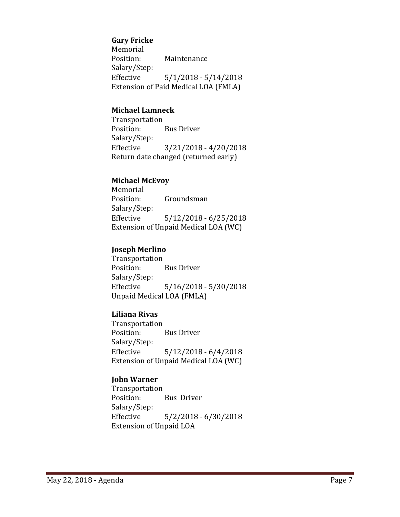#### **Gary Fricke**

Memorial<br>Position: **Maintenance** Salary/Step:  $5/1/2018 - 5/14/2018$ Extension of Paid Medical LOA (FMLA)

#### **Michael Lamneck**

Transportation **Bus Driver** Salary/Step:<br>Effective  $3/21/2018 - 4/20/2018$ Return date changed (returned early)

## **Michael McEvoy**

Memorial<br>Position: Groundsman Salary/Step: Effective 5/12/2018 - 6/25/2018 Extension of Unpaid Medical LOA (WC)

## **Joseph Merlino**

Transportation **Bus Driver** Salary/Step:<br>Effective  $5/16/2018 - 5/30/2018$ Unpaid Medical LOA (FMLA)

#### **Liliana Rivas**

Transportation **Bus Driver** Salary/Step:  $5/12/2018 - 6/4/2018$ Extension of Unpaid Medical LOA (WC)

# **John Warner**

Transportation<br>Position: Bus Driver Salary/Step:<br>Effective  $5/2/2018 - 6/30/2018$ Extension of Unpaid LOA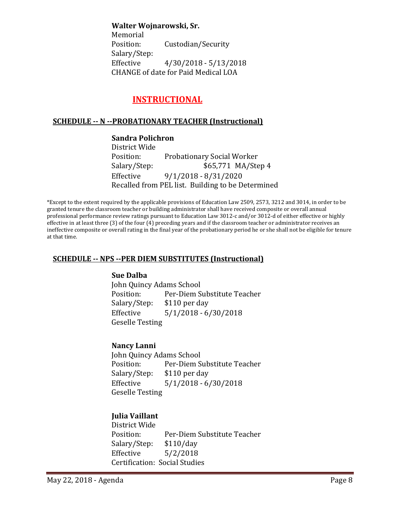**Walter Wojnarowski, Sr.**

Memorial<br>Position: Custodian/Security Salary/Step:<br>Effective  $4/30/2018 - 5/13/2018$ CHANGE of date for Paid Medical LOA

# **INSTRUCTIONAL**

# **SCHEDULE -- N --PROBATIONARY TEACHER (Instructional)**

**Sandra Polichron** District Wide<br>Position: Position: Probationary Social Worker<br>Salary/Step: \$65,771 MA/Ste \$65,771 MA/Step 4 Effective 9/1/2018 - 8/31/2020 Recalled from PEL list. Building to be Determined

\*Except to the extent required by the applicable provisions of Education Law 2509, 2573, 3212 and 3014, in order to be granted tenure the classroom teacher or building administrator shall have received composite or overall annual professional performance review ratings pursuant to Education Law 3012-c and/or 3012-d of either effective or highly effective in at least three (3) of the four (4) preceding years and if the classroom teacher or administrator receives an ineffective composite or overall rating in the final year of the probationary period he or she shall not be eligible for tenure at that time.

#### **SCHEDULE -- NPS --PER DIEM SUBSTITUTES (Instructional)**

#### **Sue Dalba**

John Quincy Adams School<br>Position: Per-Diem S Per-Diem Substitute Teacher<br>\$110 per dav Salary/Step:<br>Effective  $5/1/2018 - 6/30/2018$ Geselle Testing

#### **Nancy Lanni**

John Quincy Adams School Position: Per-Diem Substitute Teacher<br>Salary/Step: \$110 per day \$110 per day Effective 5/1/2018 - 6/30/2018 Geselle Testing

# **Julia Vaillant**

District Wide Per-Diem Substitute Teacher<br>\$110/day Salary/Step:<br>Effective  $5/2/2018$ Certification: Social Studies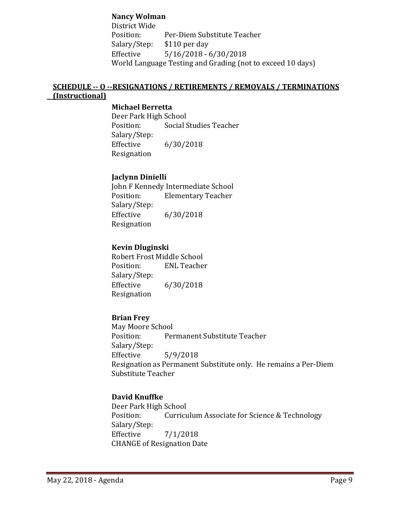### **Nancy Wolman**

District Wide Per-Diem Substitute Teacher<br>\$110 per day Salary/Step:<br>Effective  $5/16/2018 - 6/30/2018$ World Language Testing and Grading (not to exceed 10 days)

## **SCHEDULE -- O --RESIGNATIONS / RETIREMENTS / REMOVALS / TERMINATIONS (Instructional)**

#### **Michael Berretta**

Deer Park High School<br>Position: Social S Social Studies Teacher Salary/Step:<br>Effective  $6/30/2018$ Resignation

#### **Jaclynn Dinielli**

John F Kennedy Intermediate School **Elementary Teacher** Salary/Step:  $6/30/2018$ Resignation

#### **Kevin Dluginski**

Robert Frost Middle School<br>Position: ENL Teacher **ENL Teacher** Salary/Step:  $6/30/2018$ Resignation

#### **Brian Frey**

May Moore School<br>Position: Per Permanent Substitute Teacher Salary/Step:<br>Effective  $5/9/2018$ Resignation as Permanent Substitute only. He remains a Per-Diem Substitute Teacher

#### **David Knuffke**

Deer Park High School<br>Position: Curricu Curriculum Associate for Science & Technology Salary/Step:  $7/1/2018$ CHANGE of Resignation Date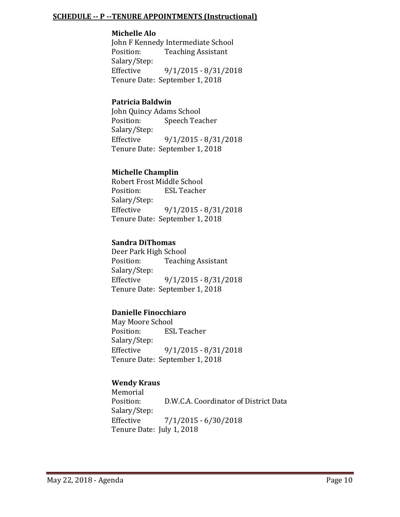#### **SCHEDULE -- P --TENURE APPOINTMENTS (Instructional)**

#### **Michelle Alo**

John F Kennedy Intermediate School<br>Position: Teaching Assistant **Teaching Assistant** Salary/Step:<br>Effective Effective 9/1/2015 - 8/31/2018 Tenure Date: September 1, 2018

#### **Patricia Baldwin**

John Quincy Adams School<br>Position: Speech Tea Speech Teacher Salary/Step: Effective 9/1/2015 - 8/31/2018 Tenure Date: September 1, 2018

## **Michelle Champlin**

Robert Frost Middle School<br>Position: ESL Teacher **ESL Teacher** Salary/Step: Effective 9/1/2015 - 8/31/2018 Tenure Date: September 1, 2018

## **Sandra DiThomas**

Deer Park High School<br>Position: Teachii **Teaching Assistant** Salary/Step:<br>Effective  $9/1/2015 - 8/31/2018$ Tenure Date: September 1, 2018

# **Danielle Finocchiaro**

May Moore School<br>Position: ESI **ESL Teacher** Salary/Step:<br>Effective  $9/1/2015 - 8/31/2018$ Tenure Date: September 1, 2018

#### **Wendy Kraus**

Memorial<br>Position: D.W.C.A. Coordinator of District Data Salary/Step:  $7/1/2015 - 6/30/2018$ Tenure Date: July 1, 2018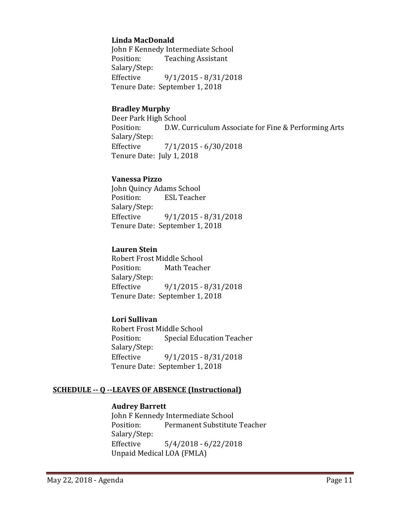#### **Linda MacDonald**

John F Kennedy Intermediate School<br>Position: Teaching Assistant **Teaching Assistant** Salary/Step:<br>Effective Effective 9/1/2015 - 8/31/2018 Tenure Date: September 1, 2018

#### **Bradley Murphy**

Deer Park High School<br>Position: D.W. Cu D.W. Curriculum Associate for Fine & Performing Arts Salary/Step: Effective 7/1/2015 - 6/30/2018 Tenure Date: July 1, 2018

#### **Vanessa Pizzo**

John Quincy Adams School<br>Position: ESL Teache **ESL Teacher** Salary/Step: Effective 9/1/2015 - 8/31/2018 Tenure Date: September 1, 2018

## **Lauren Stein**

Robert Frost Middle School<br>Position: Math Teach Math Teacher Salary/Step:<br>Effective Effective 9/1/2015 - 8/31/2018 Tenure Date: September 1, 2018

# **Lori Sullivan**

Robert Frost Middle School<br>Position: Special Educ Special Education Teacher Salary/Step: Effective 9/1/2015 - 8/31/2018 Tenure Date: September 1, 2018

# **SCHEDULE -- Q --LEAVES OF ABSENCE (Instructional)**

### **Audrey Barrett**

John F Kennedy Intermediate School<br>Position: Permanent Substitute Permanent Substitute Teacher Salary/Step: Effective 5/4/2018 - 6/22/2018 Unpaid Medical LOA (FMLA)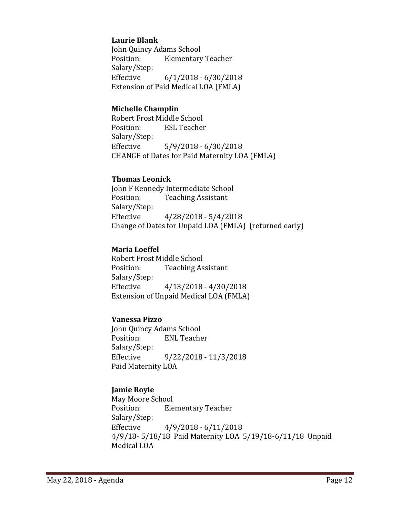## **Laurie Blank**

John Quincy Adams School<br>Position: Elementary **Elementary Teacher** Salary/Step:  $6/1/2018 - 6/30/2018$ Extension of Paid Medical LOA (FMLA)

#### **Michelle Champlin**

Robert Frost Middle School<br>Position: ESL Teacher **ESL Teacher** Salary/Step: Effective 5/9/2018 - 6/30/2018 CHANGE of Dates for Paid Maternity LOA (FMLA)

#### **Thomas Leonick**

John F Kennedy Intermediate School<br>Position: Teaching Assistant **Teaching Assistant** Salary/Step: Effective 4/28/2018 - 5/4/2018 Change of Dates for Unpaid LOA (FMLA) (returned early)

## **Maria Loeffel**

Robert Frost Middle School<br>Position: Teaching As **Teaching Assistant** Salary/Step:<br>Effective  $4/13/2018 - 4/30/2018$ Extension of Unpaid Medical LOA (FMLA)

# **Vanessa Pizzo**

John Quincy Adams School<br>Position: ENL Teache **ENL Teacher** Salary/Step: Effective 9/22/2018 - 11/3/2018 Paid Maternity LOA

# **Jamie Royle**

May Moore School<br>Position: Ele **Elementary Teacher** Salary/Step:<br>Effective  $4/9/2018 - 6/11/2018$ 4/9/18- 5/18/18 Paid Maternity LOA 5/19/18-6/11/18 Unpaid Medical LOA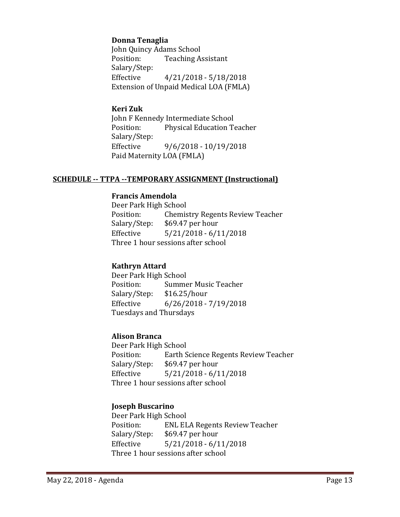## **Donna Tenaglia**

John Quincy Adams School<br>Position: Teaching A **Teaching Assistant** Salary/Step:  $4/21/2018 - 5/18/2018$ Extension of Unpaid Medical LOA (FMLA)

#### **Keri Zuk**

John F Kennedy Intermediate School<br>Position: Physical Education To Physical Education Teacher Salary/Step:<br>Effective  $9/6/2018 - 10/19/2018$ Paid Maternity LOA (FMLA)

#### **SCHEDULE -- TTPA --TEMPORARY ASSIGNMENT (Instructional)**

#### **Francis Amendola**

Deer Park High School<br>Position: Chemis Position: Chemistry Regents Review Teacher<br>Salary/Step: \$69.47 per hour Salary/Step: \$69.47 per hour<br>Effective 5/21/2018 - 6/1  $5/21/2018 - 6/11/2018$ Three 1 hour sessions after school

#### **Kathryn Attard**

Deer Park High School Summer Music Teacher<br>\$16.25/hour Salary/Step:<br>Effective  $6/26/2018 - 7/19/2018$ Tuesdays and Thursdays

#### **Alison Branca**

Deer Park High School<br>Position: Earth S Position: Earth Science Regents Review Teacher<br>Salary/Step: \$69.47 per hour Salary/Step: \$69.47 per hour<br>Effective 5/21/2018 - 6/1  $5/21/2018 - 6/11/2018$ Three 1 hour sessions after school

#### **Joseph Buscarino**

Deer Park High School Position: ENL ELA Regents Review Teacher<br>Salary/Step: \$69.47 per hour  $$69.47$  per hour Effective 5/21/2018 - 6/11/2018 Three 1 hour sessions after school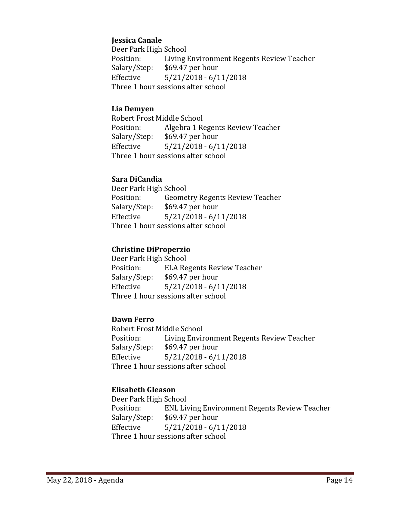## **Jessica Canale**

Deer Park High School<br>Position: Living Position: Living Environment Regents Review Teacher<br>Salary/Step: \$69.47 per hour Salary/Step: \$69.47 per hour<br>Effective 5/21/2018 - 6/1  $5/21/2018 - 6/11/2018$ Three 1 hour sessions after school

#### **Lia Demyen**

Robert Frost Middle School<br>Position: Algebra 1 Re Position: Algebra 1 Regents Review Teacher<br>Salary/Step: \$69.47 per hour Salary/Step: \$69.47 per hour<br>Effective 5/21/2018 - 6/1  $5/21/2018 - 6/11/2018$ Three 1 hour sessions after school

## **Sara DiCandia**

Deer Park High School Position: Geometry Regents Review Teacher<br>Salary/Step: \$69.47 per hour Salary/Step: \$69.47 per hour<br>Effective 5/21/2018 - 6/1  $5/21/2018 - 6/11/2018$ Three 1 hour sessions after school

## **Christine DiProperzio**

Deer Park High School<br>Position: ELA Re Position: ELA Regents Review Teacher<br>Salary/Step: \$69.47 per hour Salary/Step: \$69.47 per hour<br>Effective 5/21/2018 - 6/1  $5/21/2018 - 6/11/2018$ Three 1 hour sessions after school

# **Dawn Ferro**

Robert Frost Middle School Position: Living Environment Regents Review Teacher<br>Salary/Step: \$69.47 per hour \$69.47 per hour Effective 5/21/2018 - 6/11/2018 Three 1 hour sessions after school

# **Elisabeth Gleason**

Deer Park High School<br>Position: ENL Liv Position: ENL Living Environment Regents Review Teacher<br>Salary/Step: \$69.47 per hour Salary/Step: \$69.47 per hour<br>Effective 5/21/2018 - 6/1  $5/21/2018 - 6/11/2018$ Three 1 hour sessions after school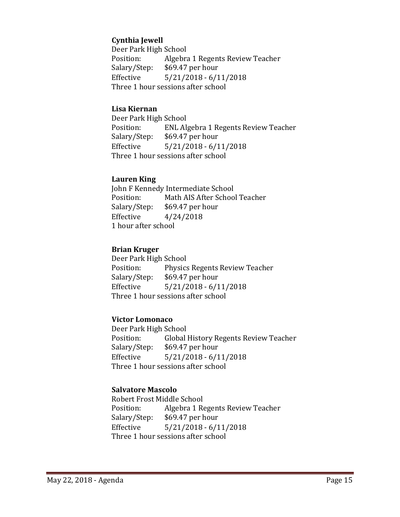# **Cynthia Jewell**

Deer Park High School<br>Position: Algebra Position: Algebra 1 Regents Review Teacher<br>Salary/Step: \$69.47 per hour Salary/Step: \$69.47 per hour<br>Effective 5/21/2018 - 6/1  $5/21/2018 - 6/11/2018$ Three 1 hour sessions after school

#### **Lisa Kiernan**

Deer Park High School<br>Position: ENL Al Position: ENL Algebra 1 Regents Review Teacher<br>Salary/Step: \$69.47 per hour Salary/Step: \$69.47 per hour<br>Effective 5/21/2018 - 6/1  $5/21/2018 - 6/11/2018$ Three 1 hour sessions after school

#### **Lauren King**

John F Kennedy Intermediate School<br>Position: Math AIS After Schoo Position: Math AIS After School Teacher<br>Salary/Step: \$69.47 per hour Salary/Step: \$69.47 per hour<br>Effective 4/24/2018  $4/24/2018$ 1 hour after school

#### **Brian Kruger**

Deer Park High School<br>Position: Physics Position: Physics Regents Review Teacher<br>Salary/Step: \$69.47 per hour Salary/Step: \$69.47 per hour<br>Effective 5/21/2018 - 6/1  $5/21/2018 - 6/11/2018$ Three 1 hour sessions after school

#### **Victor Lomonaco**

Deer Park High School<br>Position: Global Position: Global History Regents Review Teacher<br>Salary/Step: \$69.47 per hour \$69.47 per hour Effective 5/21/2018 - 6/11/2018 Three 1 hour sessions after school

#### **Salvatore Mascolo**

Robert Frost Middle School<br>Position: Algebra 1 Re Position: Algebra 1 Regents Review Teacher<br>Salary/Step: \$69.47 per hour Salary/Step: \$69.47 per hour<br>Effective 5/21/2018 - 6/1  $5/21/2018 - 6/11/2018$ Three 1 hour sessions after school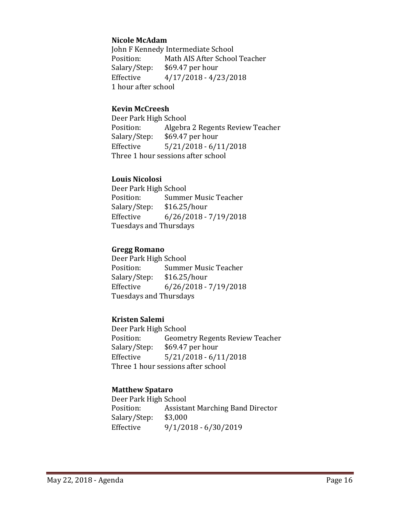#### **Nicole McAdam**

John F Kennedy Intermediate School<br>Position: Math AIS After Schoo Position: Math AIS After School Teacher<br>Salary/Step: \$69.47 per hour Salary/Step: \$69.47 per hour<br>Effective 4/17/2018 - 4/2  $4/17/2018 - 4/23/2018$ 1 hour after school

#### **Kevin McCreesh**

Deer Park High School<br>Position: Algebra Position: Algebra 2 Regents Review Teacher<br>Salary/Step: \$69.47 per hour Salary/Step: \$69.47 per hour<br>Effective 5/21/2018 - 6/1  $5/21/2018 - 6/11/2018$ Three 1 hour sessions after school

## **Louis Nicolosi**

Deer Park High School<br>Position: Summe Summer Music Teacher<br>\$16.25/hour Salary/Step: Effective 6/26/2018 - 7/19/2018 Tuesdays and Thursdays

#### **Gregg Romano**

Deer Park High School<br>Position: Summe Summer Music Teacher<br>\$16.25/hour Salary/Step:<br>Effective  $6/26/2018 - 7/19/2018$ Tuesdays and Thursdays

# **Kristen Salemi**

Deer Park High School<br>Position: Geome Position: Geometry Regents Review Teacher<br>Salary/Step: \$69.47 per hour \$69.47 per hour Effective 5/21/2018 - 6/11/2018 Three 1 hour sessions after school

# **Matthew Spataro**

Deer Park High School<br>Position: Assista Assistant Marching Band Director<br>\$3,000 Salary/Step:<br>Effective Effective 9/1/2018 - 6/30/2019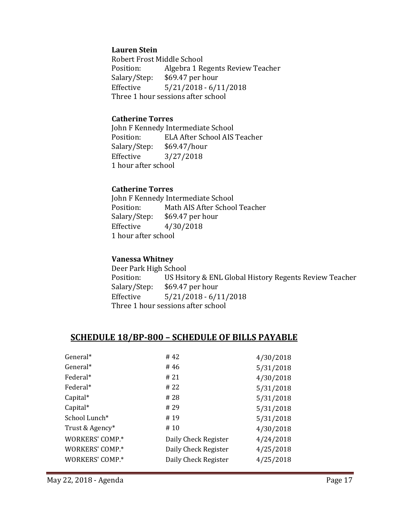#### **Lauren Stein**

Robert Frost Middle School<br>Position: Algebra 1 Ro Algebra 1 Regents Review Teacher Salary/Step: \$69.47 per hour<br>Effective 5/21/2018 - 6/1  $5/21/2018 - 6/11/2018$ Three 1 hour sessions after school

#### **Catherine Torres**

John F Kennedy Intermediate School<br>Position: ELA After School AIS ELA After School AIS Teacher<br>\$69.47/hour Salary/Step:<br>Effective Effective 3/27/2018 1 hour after school

#### **Catherine Torres**

John F Kennedy Intermediate School<br>Position: Math AIS After Schoo Position: Math AIS After School Teacher<br>Salary/Step: \$69.47 per hour Salary/Step: \$69.47 per hour<br>Effective 4/30/2018 Effective 4/30/2018 1 hour after school

#### **Vanessa Whitney**

Deer Park High School Position: US Hsitory & ENL Global History Regents Review Teacher<br>Salary/Step: \$69.47 per hour Salary/Step: \$69.47 per hour<br>Effective 5/21/2018 - 6/1  $5/21/2018 - 6/11/2018$ Three 1 hour sessions after school

# **SCHEDULE 18/BP-800 – SCHEDULE OF BILLS PAYABLE**

| #42                  | 4/30/2018 |
|----------------------|-----------|
| #46                  | 5/31/2018 |
| # 21                 | 4/30/2018 |
| # 22                 | 5/31/2018 |
| # 28                 | 5/31/2018 |
| # 29                 | 5/31/2018 |
| #19                  | 5/31/2018 |
| #10                  | 4/30/2018 |
| Daily Check Register | 4/24/2018 |
| Daily Check Register | 4/25/2018 |
| Daily Check Register | 4/25/2018 |
|                      |           |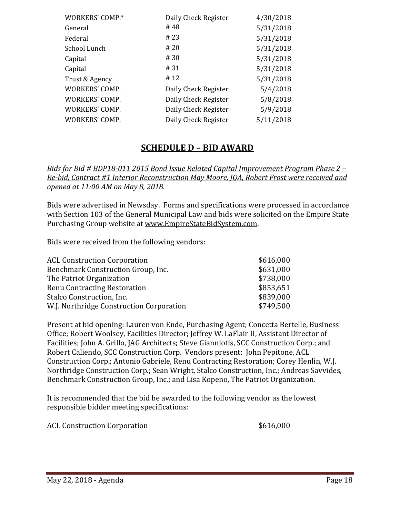| WORKERS' COMP.*       | Daily Check Register | 4/30/2018 |
|-----------------------|----------------------|-----------|
| General               | #48                  | 5/31/2018 |
| Federal               | # 23                 | 5/31/2018 |
| School Lunch          | # 20                 | 5/31/2018 |
| Capital               | # 30                 | 5/31/2018 |
| Capital               | # 31                 | 5/31/2018 |
| Trust & Agency        | #12                  | 5/31/2018 |
| WORKERS' COMP.        | Daily Check Register | 5/4/2018  |
| <b>WORKERS' COMP.</b> | Daily Check Register | 5/8/2018  |
| WORKERS' COMP.        | Daily Check Register | 5/9/2018  |
| WORKERS' COMP.        | Daily Check Register | 5/11/2018 |
|                       |                      |           |

# **SCHEDULE D – BID AWARD**

*Bids for Bid # BDP18-011 2015 Bond Issue Related Capital Improvement Program Phase 2 – Re-bid, Contract #1 Interior Reconstruction May Moore, JQA, Robert Frost were received and opened at 11:00 AM on May 8, 2018.*

Bids were advertised in Newsday. Forms and specifications were processed in accordance with Section 103 of the General Municipal Law and bids were solicited on the Empire State Purchasing Group website at [www.EmpireStateBidSystem.com.](http://www.empirestatebidsystem.com/)

Bids were received from the following vendors:

| <b>ACL Construction Corporation</b>      | \$616,000 |
|------------------------------------------|-----------|
| Benchmark Construction Group, Inc.       | \$631,000 |
| The Patriot Organization                 | \$738,000 |
| <b>Renu Contracting Restoration</b>      | \$853,651 |
| Stalco Construction, Inc.                | \$839,000 |
| W.J. Northridge Construction Corporation | \$749,500 |
|                                          |           |

Present at bid opening: Lauren von Ende, Purchasing Agent; Concetta Bertelle, Business Office; Robert Woolsey, Facilities Director; Jeffrey W. LaFlair II, Assistant Director of Facilities; John A. Grillo, JAG Architects; Steve Gianniotis, SCC Construction Corp.; and Robert Caliendo, SCC Construction Corp. Vendors present: John Pepitone, ACL Construction Corp.; Antonio Gabriele, Renu Contracting Restoration; Corey Henlin, W.J. Northridge Construction Corp.; Sean Wright, Stalco Construction, Inc.; Andreas Savvides, Benchmark Construction Group, Inc.; and Lisa Kopeno, The Patriot Organization.

It is recommended that the bid be awarded to the following vendor as the lowest responsible bidder meeting specifications:

ACL Construction Corporation  $\sim$  \$616,000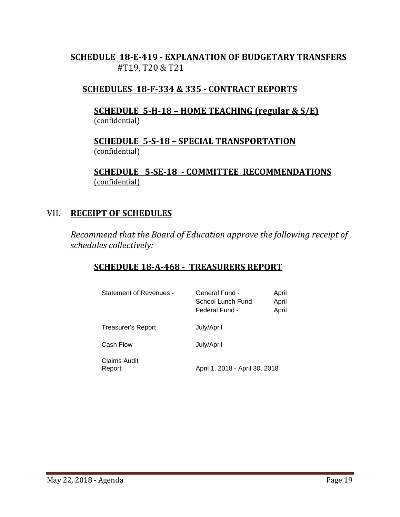# **SCHEDULE 18-E-419 - EXPLANATION OF BUDGETARY TRANSFERS** #T19, T20 & T21

# **SCHEDULES 18-F-334 & 335 - CONTRACT REPORTS**

# **SCHEDULE 5-H-18 – HOME TEACHING (regular & S/E)**  (confidential)

**SCHEDULE 5-S-18 – SPECIAL TRANSPORTATION**  (confidential)

**SCHEDULE 5-SE-18 - COMMITTEE RECOMMENDATIONS** (confidential)

# VII. **RECEIPT OF SCHEDULES**

*Recommend that the Board of Education approve the following receipt of schedules collectively:*

# **SCHEDULE 18-A-468 - TREASURERS REPORT**

| Statement of Revenues - | General Fund -<br>School Lunch Fund<br>Federal Fund - | April<br>April<br>April |
|-------------------------|-------------------------------------------------------|-------------------------|
| Treasurer's Report      | July/April                                            |                         |
| Cash Flow               | July/April                                            |                         |
| Claims Audit<br>Report  | April 1, 2018 - April 30, 2018                        |                         |